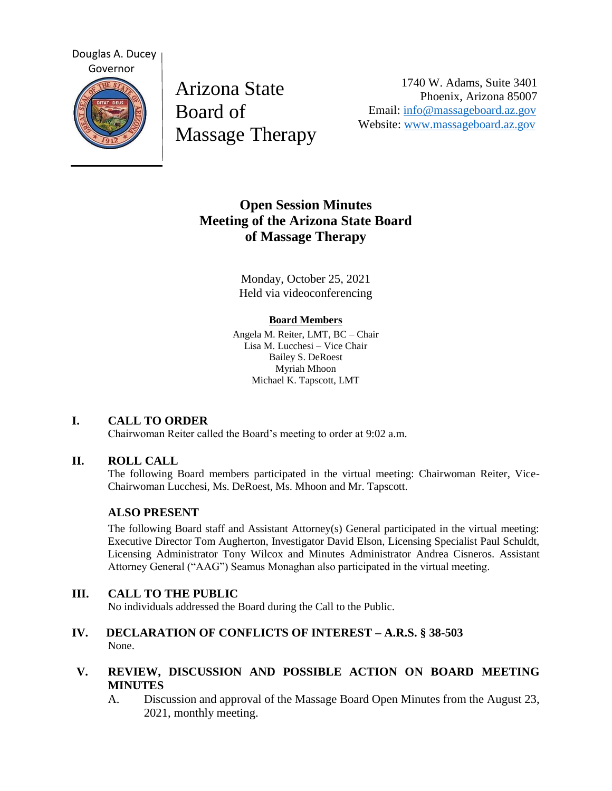

Arizona State Board of Massage Therapy

1740 W. Adams, Suite 3401 Phoenix, Arizona 85007 Email: [info@massageboard.az.gov](mailto:info@massageboard.az.gov) Website: [www.massageboard.az.gov](http://www.massageboard.az.gov/)

# **Open Session Minutes Meeting of the Arizona State Board of Massage Therapy**

Monday, October 25, 2021 Held via videoconferencing

#### **Board Members**

Angela M. Reiter, LMT, BC – Chair Lisa M. Lucchesi – Vice Chair Bailey S. DeRoest Myriah Mhoon Michael K. Tapscott, LMT

## **I. CALL TO ORDER**

Chairwoman Reiter called the Board's meeting to order at 9:02 a.m.

## **II. ROLL CALL**

The following Board members participated in the virtual meeting: Chairwoman Reiter, Vice-Chairwoman Lucchesi, Ms. DeRoest, Ms. Mhoon and Mr. Tapscott.

## **ALSO PRESENT**

The following Board staff and Assistant Attorney(s) General participated in the virtual meeting: Executive Director Tom Augherton, Investigator David Elson, Licensing Specialist Paul Schuldt, Licensing Administrator Tony Wilcox and Minutes Administrator Andrea Cisneros. Assistant Attorney General ("AAG") Seamus Monaghan also participated in the virtual meeting.

## **III. CALL TO THE PUBLIC**

No individuals addressed the Board during the Call to the Public.

#### **IV. DECLARATION OF CONFLICTS OF INTEREST – A.R.S. § 38-503** None.

## **V. REVIEW, DISCUSSION AND POSSIBLE ACTION ON BOARD MEETING MINUTES**

A. Discussion and approval of the Massage Board Open Minutes from the August 23, 2021, monthly meeting.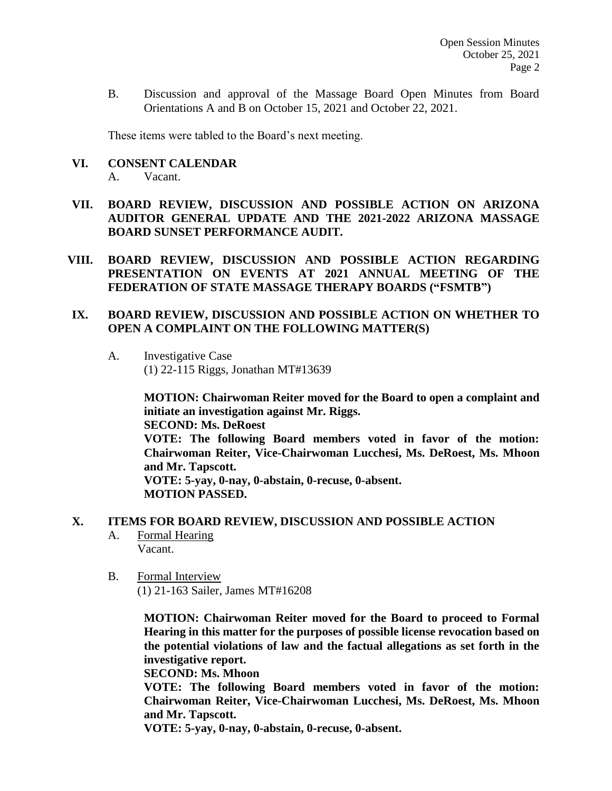B. Discussion and approval of the Massage Board Open Minutes from Board Orientations A and B on October 15, 2021 and October 22, 2021.

These items were tabled to the Board's next meeting.

**VI. CONSENT CALENDAR**

A. Vacant.

- **VII. BOARD REVIEW, DISCUSSION AND POSSIBLE ACTION ON ARIZONA AUDITOR GENERAL UPDATE AND THE 2021-2022 ARIZONA MASSAGE BOARD SUNSET PERFORMANCE AUDIT.**
- **VIII. BOARD REVIEW, DISCUSSION AND POSSIBLE ACTION REGARDING PRESENTATION ON EVENTS AT 2021 ANNUAL MEETING OF THE FEDERATION OF STATE MASSAGE THERAPY BOARDS ("FSMTB")**

## **IX. BOARD REVIEW, DISCUSSION AND POSSIBLE ACTION ON WHETHER TO OPEN A COMPLAINT ON THE FOLLOWING MATTER(S)**

A. Investigative Case (1) 22-115 Riggs, Jonathan MT#13639

> **MOTION: Chairwoman Reiter moved for the Board to open a complaint and initiate an investigation against Mr. Riggs.**

**SECOND: Ms. DeRoest**

**VOTE: The following Board members voted in favor of the motion: Chairwoman Reiter, Vice-Chairwoman Lucchesi, Ms. DeRoest, Ms. Mhoon and Mr. Tapscott.** 

**VOTE: 5-yay, 0-nay, 0-abstain, 0-recuse, 0-absent. MOTION PASSED.** 

## **X. ITEMS FOR BOARD REVIEW, DISCUSSION AND POSSIBLE ACTION**

- A. Formal Hearing Vacant.
- B. Formal Interview

(1) 21-163 Sailer, James MT#16208

**MOTION: Chairwoman Reiter moved for the Board to proceed to Formal Hearing in this matter for the purposes of possible license revocation based on the potential violations of law and the factual allegations as set forth in the investigative report.** 

**SECOND: Ms. Mhoon** 

**VOTE: The following Board members voted in favor of the motion: Chairwoman Reiter, Vice-Chairwoman Lucchesi, Ms. DeRoest, Ms. Mhoon and Mr. Tapscott.** 

**VOTE: 5-yay, 0-nay, 0-abstain, 0-recuse, 0-absent.**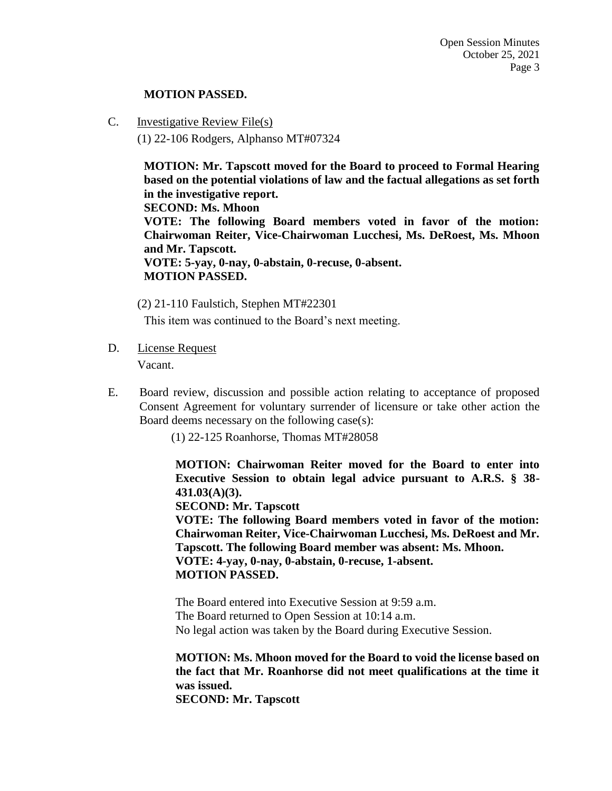#### **MOTION PASSED.**

C. Investigative Review File(s)

(1) 22-106 Rodgers, Alphanso MT#07324

**MOTION: Mr. Tapscott moved for the Board to proceed to Formal Hearing based on the potential violations of law and the factual allegations as set forth in the investigative report.** 

**SECOND: Ms. Mhoon** 

**VOTE: The following Board members voted in favor of the motion: Chairwoman Reiter, Vice-Chairwoman Lucchesi, Ms. DeRoest, Ms. Mhoon and Mr. Tapscott.** 

**VOTE: 5-yay, 0-nay, 0-abstain, 0-recuse, 0-absent. MOTION PASSED.** 

(2) 21-110 Faulstich, Stephen MT#22301

This item was continued to the Board's next meeting.

D. License Request

Vacant.

E. Board review, discussion and possible action relating to acceptance of proposed Consent Agreement for voluntary surrender of licensure or take other action the Board deems necessary on the following case(s):

(1) 22-125 Roanhorse, Thomas MT#28058

**MOTION: Chairwoman Reiter moved for the Board to enter into Executive Session to obtain legal advice pursuant to A.R.S. § 38- 431.03(A)(3).** 

**SECOND: Mr. Tapscott** 

**VOTE: The following Board members voted in favor of the motion: Chairwoman Reiter, Vice-Chairwoman Lucchesi, Ms. DeRoest and Mr. Tapscott. The following Board member was absent: Ms. Mhoon. VOTE: 4-yay, 0-nay, 0-abstain, 0-recuse, 1-absent. MOTION PASSED.**

The Board entered into Executive Session at 9:59 a.m. The Board returned to Open Session at 10:14 a.m. No legal action was taken by the Board during Executive Session.

**MOTION: Ms. Mhoon moved for the Board to void the license based on the fact that Mr. Roanhorse did not meet qualifications at the time it was issued.** 

**SECOND: Mr. Tapscott**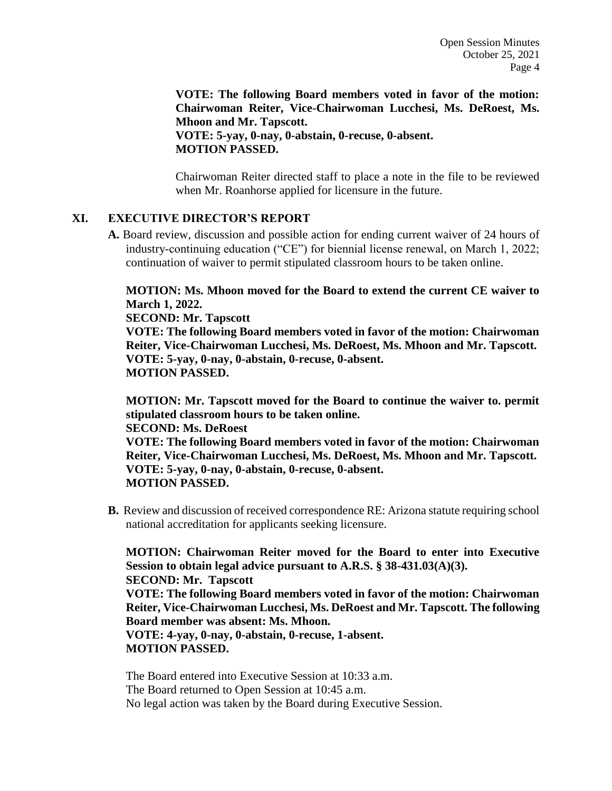**VOTE: The following Board members voted in favor of the motion: Chairwoman Reiter, Vice-Chairwoman Lucchesi, Ms. DeRoest, Ms. Mhoon and Mr. Tapscott. VOTE: 5-yay, 0-nay, 0-abstain, 0-recuse, 0-absent. MOTION PASSED.** 

Chairwoman Reiter directed staff to place a note in the file to be reviewed when Mr. Roanhorse applied for licensure in the future.

#### **XI. EXECUTIVE DIRECTOR'S REPORT**

**A.** Board review, discussion and possible action for ending current waiver of 24 hours of industry-continuing education ("CE") for biennial license renewal, on March 1, 2022; continuation of waiver to permit stipulated classroom hours to be taken online.

**MOTION: Ms. Mhoon moved for the Board to extend the current CE waiver to March 1, 2022.** 

**SECOND: Mr. Tapscott** 

**VOTE: The following Board members voted in favor of the motion: Chairwoman Reiter, Vice-Chairwoman Lucchesi, Ms. DeRoest, Ms. Mhoon and Mr. Tapscott. VOTE: 5-yay, 0-nay, 0-abstain, 0-recuse, 0-absent. MOTION PASSED.** 

**MOTION: Mr. Tapscott moved for the Board to continue the waiver to. permit stipulated classroom hours to be taken online.** 

**SECOND: Ms. DeRoest** 

**VOTE: The following Board members voted in favor of the motion: Chairwoman Reiter, Vice-Chairwoman Lucchesi, Ms. DeRoest, Ms. Mhoon and Mr. Tapscott. VOTE: 5-yay, 0-nay, 0-abstain, 0-recuse, 0-absent. MOTION PASSED.** 

**B.** Review and discussion of received correspondence RE: Arizona statute requiring school national accreditation for applicants seeking licensure.

**MOTION: Chairwoman Reiter moved for the Board to enter into Executive Session to obtain legal advice pursuant to A.R.S. § 38-431.03(A)(3). SECOND: Mr. Tapscott VOTE: The following Board members voted in favor of the motion: Chairwoman Reiter, Vice-Chairwoman Lucchesi, Ms. DeRoest and Mr. Tapscott. The following Board member was absent: Ms. Mhoon. VOTE: 4-yay, 0-nay, 0-abstain, 0-recuse, 1-absent. MOTION PASSED.** 

The Board entered into Executive Session at 10:33 a.m. The Board returned to Open Session at 10:45 a.m. No legal action was taken by the Board during Executive Session.